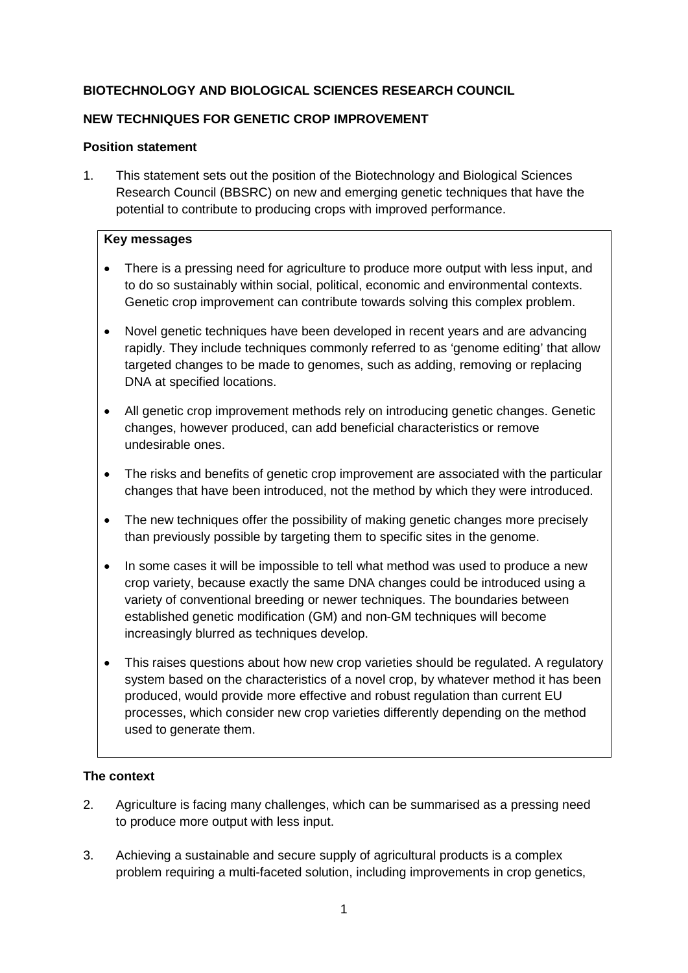## **BIOTECHNOLOGY AND BIOLOGICAL SCIENCES RESEARCH COUNCIL**

### **NEW TECHNIQUES FOR GENETIC CROP IMPROVEMENT**

### **Position statement**

1. This statement sets out the position of the Biotechnology and Biological Sciences Research Council (BBSRC) on new and emerging genetic techniques that have the potential to contribute to producing crops with improved performance.

### **Key messages**

- There is a pressing need for agriculture to produce more output with less input, and to do so sustainably within social, political, economic and environmental contexts. Genetic crop improvement can contribute towards solving this complex problem.
- Novel genetic techniques have been developed in recent years and are advancing rapidly. They include techniques commonly referred to as 'genome editing' that allow targeted changes to be made to genomes, such as adding, removing or replacing DNA at specified locations.
- All genetic crop improvement methods rely on introducing genetic changes. Genetic changes, however produced, can add beneficial characteristics or remove undesirable ones.
- The risks and benefits of genetic crop improvement are associated with the particular changes that have been introduced, not the method by which they were introduced.
- The new techniques offer the possibility of making genetic changes more precisely than previously possible by targeting them to specific sites in the genome.
- In some cases it will be impossible to tell what method was used to produce a new crop variety, because exactly the same DNA changes could be introduced using a variety of conventional breeding or newer techniques. The boundaries between established genetic modification (GM) and non-GM techniques will become increasingly blurred as techniques develop.
- This raises questions about how new crop varieties should be regulated. A regulatory system based on the characteristics of a novel crop, by whatever method it has been produced, would provide more effective and robust regulation than current EU processes, which consider new crop varieties differently depending on the method used to generate them.

### **The context**

- 2. Agriculture is facing many challenges, which can be summarised as a pressing need to produce more output with less input.
- 3. Achieving a sustainable and secure supply of agricultural products is a complex problem requiring a multi-faceted solution, including improvements in crop genetics,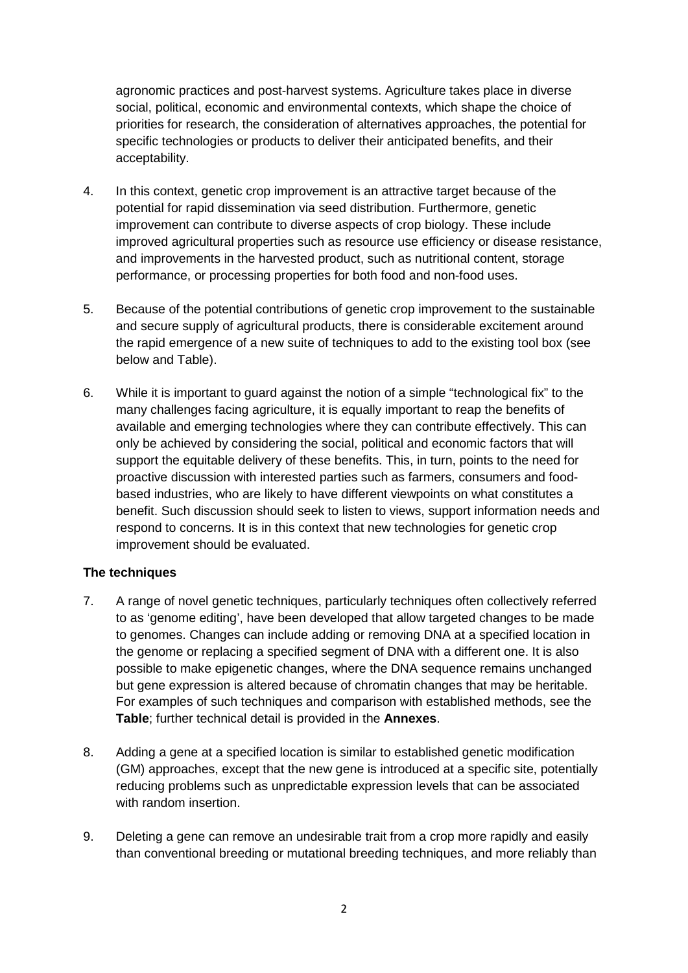agronomic practices and post-harvest systems. Agriculture takes place in diverse social, political, economic and environmental contexts, which shape the choice of priorities for research, the consideration of alternatives approaches, the potential for specific technologies or products to deliver their anticipated benefits, and their acceptability.

- 4. In this context, genetic crop improvement is an attractive target because of the potential for rapid dissemination via seed distribution. Furthermore, genetic improvement can contribute to diverse aspects of crop biology. These include improved agricultural properties such as resource use efficiency or disease resistance, and improvements in the harvested product, such as nutritional content, storage performance, or processing properties for both food and non-food uses.
- 5. Because of the potential contributions of genetic crop improvement to the sustainable and secure supply of agricultural products, there is considerable excitement around the rapid emergence of a new suite of techniques to add to the existing tool box (see below and Table).
- 6. While it is important to guard against the notion of a simple "technological fix" to the many challenges facing agriculture, it is equally important to reap the benefits of available and emerging technologies where they can contribute effectively. This can only be achieved by considering the social, political and economic factors that will support the equitable delivery of these benefits. This, in turn, points to the need for proactive discussion with interested parties such as farmers, consumers and foodbased industries, who are likely to have different viewpoints on what constitutes a benefit. Such discussion should seek to listen to views, support information needs and respond to concerns. It is in this context that new technologies for genetic crop improvement should be evaluated.

### **The techniques**

- 7. A range of novel genetic techniques, particularly techniques often collectively referred to as 'genome editing', have been developed that allow targeted changes to be made to genomes. Changes can include adding or removing DNA at a specified location in the genome or replacing a specified segment of DNA with a different one. It is also possible to make epigenetic changes, where the DNA sequence remains unchanged but gene expression is altered because of chromatin changes that may be heritable. For examples of such techniques and comparison with established methods, see the **Table**; further technical detail is provided in the **Annexes**.
- 8. Adding a gene at a specified location is similar to established genetic modification (GM) approaches, except that the new gene is introduced at a specific site, potentially reducing problems such as unpredictable expression levels that can be associated with random insertion.
- 9. Deleting a gene can remove an undesirable trait from a crop more rapidly and easily than conventional breeding or mutational breeding techniques, and more reliably than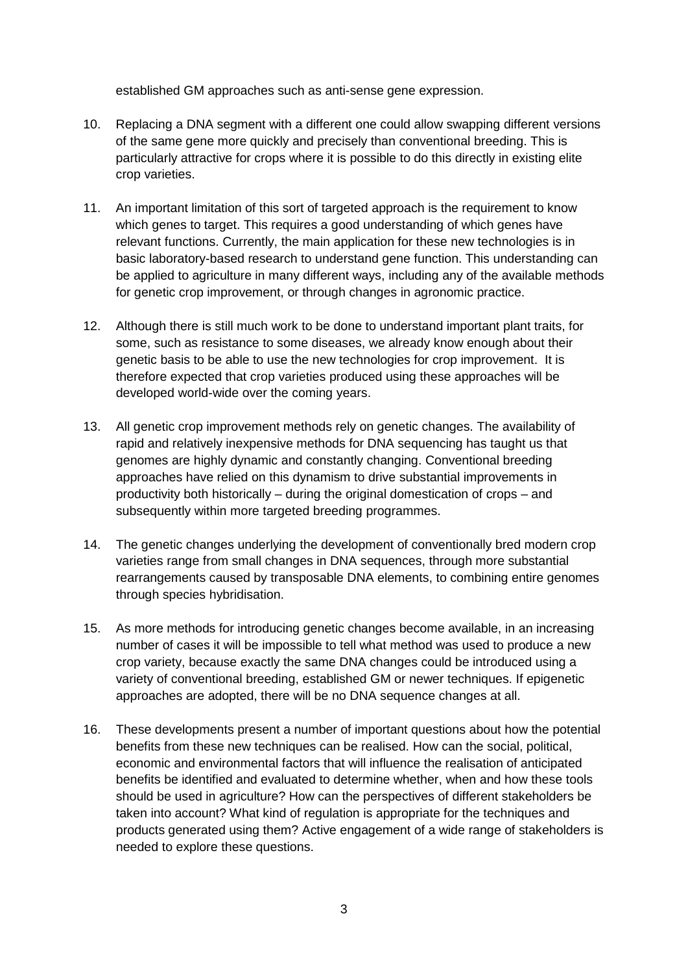established GM approaches such as anti-sense gene expression.

- 10. Replacing a DNA segment with a different one could allow swapping different versions of the same gene more quickly and precisely than conventional breeding. This is particularly attractive for crops where it is possible to do this directly in existing elite crop varieties.
- 11. An important limitation of this sort of targeted approach is the requirement to know which genes to target. This requires a good understanding of which genes have relevant functions. Currently, the main application for these new technologies is in basic laboratory-based research to understand gene function. This understanding can be applied to agriculture in many different ways, including any of the available methods for genetic crop improvement, or through changes in agronomic practice.
- 12. Although there is still much work to be done to understand important plant traits, for some, such as resistance to some diseases, we already know enough about their genetic basis to be able to use the new technologies for crop improvement. It is therefore expected that crop varieties produced using these approaches will be developed world-wide over the coming years.
- 13. All genetic crop improvement methods rely on genetic changes. The availability of rapid and relatively inexpensive methods for DNA sequencing has taught us that genomes are highly dynamic and constantly changing. Conventional breeding approaches have relied on this dynamism to drive substantial improvements in productivity both historically – during the original domestication of crops – and subsequently within more targeted breeding programmes.
- 14. The genetic changes underlying the development of conventionally bred modern crop varieties range from small changes in DNA sequences, through more substantial rearrangements caused by transposable DNA elements, to combining entire genomes through species hybridisation.
- 15. As more methods for introducing genetic changes become available, in an increasing number of cases it will be impossible to tell what method was used to produce a new crop variety, because exactly the same DNA changes could be introduced using a variety of conventional breeding, established GM or newer techniques. If epigenetic approaches are adopted, there will be no DNA sequence changes at all.
- 16. These developments present a number of important questions about how the potential benefits from these new techniques can be realised. How can the social, political, economic and environmental factors that will influence the realisation of anticipated benefits be identified and evaluated to determine whether, when and how these tools should be used in agriculture? How can the perspectives of different stakeholders be taken into account? What kind of regulation is appropriate for the techniques and products generated using them? Active engagement of a wide range of stakeholders is needed to explore these questions.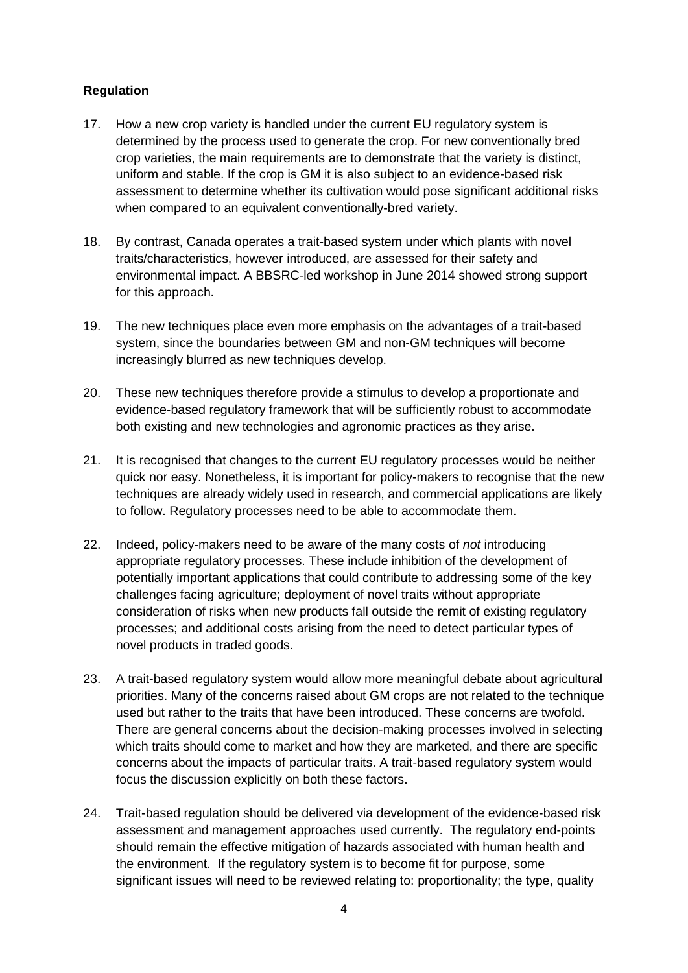## **Regulation**

- 17. How a new crop variety is handled under the current EU regulatory system is determined by the process used to generate the crop. For new conventionally bred crop varieties, the main requirements are to demonstrate that the variety is distinct, uniform and stable. If the crop is GM it is also subject to an evidence-based risk assessment to determine whether its cultivation would pose significant additional risks when compared to an equivalent conventionally-bred variety.
- 18. By contrast, Canada operates a trait-based system under which plants with novel traits/characteristics, however introduced, are assessed for their safety and environmental impact. A BBSRC-led workshop in June 2014 showed strong support for this approach.
- 19. The new techniques place even more emphasis on the advantages of a trait-based system, since the boundaries between GM and non-GM techniques will become increasingly blurred as new techniques develop.
- 20. These new techniques therefore provide a stimulus to develop a proportionate and evidence-based regulatory framework that will be sufficiently robust to accommodate both existing and new technologies and agronomic practices as they arise.
- 21. It is recognised that changes to the current EU regulatory processes would be neither quick nor easy. Nonetheless, it is important for policy-makers to recognise that the new techniques are already widely used in research, and commercial applications are likely to follow. Regulatory processes need to be able to accommodate them.
- 22. Indeed, policy-makers need to be aware of the many costs of *not* introducing appropriate regulatory processes. These include inhibition of the development of potentially important applications that could contribute to addressing some of the key challenges facing agriculture; deployment of novel traits without appropriate consideration of risks when new products fall outside the remit of existing regulatory processes; and additional costs arising from the need to detect particular types of novel products in traded goods.
- 23. A trait-based regulatory system would allow more meaningful debate about agricultural priorities. Many of the concerns raised about GM crops are not related to the technique used but rather to the traits that have been introduced. These concerns are twofold. There are general concerns about the decision-making processes involved in selecting which traits should come to market and how they are marketed, and there are specific concerns about the impacts of particular traits. A trait-based regulatory system would focus the discussion explicitly on both these factors.
- 24. Trait-based regulation should be delivered via development of the evidence-based risk assessment and management approaches used currently. The regulatory end-points should remain the effective mitigation of hazards associated with human health and the environment. If the regulatory system is to become fit for purpose, some significant issues will need to be reviewed relating to: proportionality; the type, quality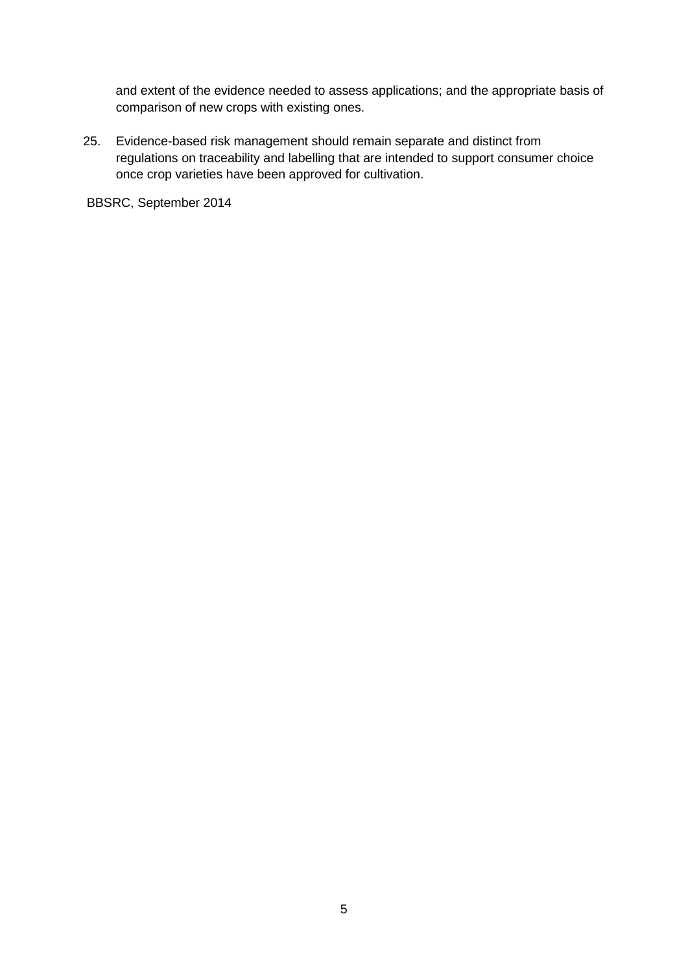and extent of the evidence needed to assess applications; and the appropriate basis of comparison of new crops with existing ones.

25. Evidence-based risk management should remain separate and distinct from regulations on traceability and labelling that are intended to support consumer choice once crop varieties have been approved for cultivation.

BBSRC, September 2014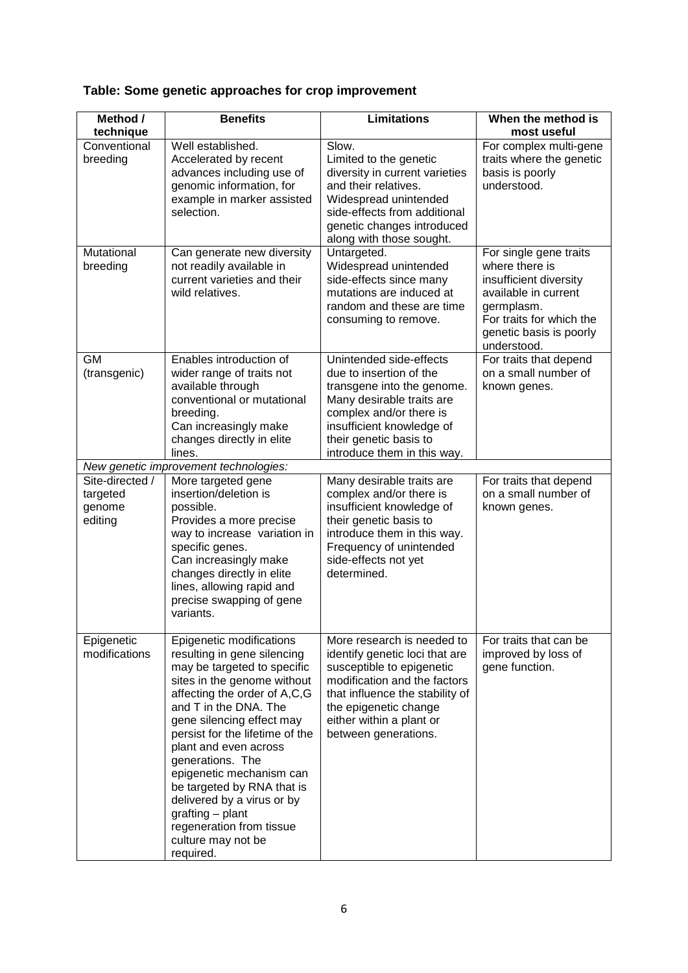# **Table: Some genetic approaches for crop improvement**

| Method /                                         | <b>Benefits</b>                                                                                                                                                                                                                                                                                                                                                                                                                                                        | <b>Limitations</b>                                                                                                                                                                                                                        | When the method is                                                                                                                                                             |
|--------------------------------------------------|------------------------------------------------------------------------------------------------------------------------------------------------------------------------------------------------------------------------------------------------------------------------------------------------------------------------------------------------------------------------------------------------------------------------------------------------------------------------|-------------------------------------------------------------------------------------------------------------------------------------------------------------------------------------------------------------------------------------------|--------------------------------------------------------------------------------------------------------------------------------------------------------------------------------|
| technique                                        |                                                                                                                                                                                                                                                                                                                                                                                                                                                                        |                                                                                                                                                                                                                                           | most useful                                                                                                                                                                    |
| Conventional<br>breeding                         | Well established.<br>Accelerated by recent<br>advances including use of<br>genomic information, for<br>example in marker assisted<br>selection.                                                                                                                                                                                                                                                                                                                        | Slow.<br>Limited to the genetic<br>diversity in current varieties<br>and their relatives.<br>Widespread unintended<br>side-effects from additional<br>genetic changes introduced<br>along with those sought.                              | For complex multi-gene<br>traits where the genetic<br>basis is poorly<br>understood.                                                                                           |
| Mutational<br>breeding                           | Can generate new diversity<br>not readily available in<br>current varieties and their<br>wild relatives.                                                                                                                                                                                                                                                                                                                                                               | Untargeted.<br>Widespread unintended<br>side-effects since many<br>mutations are induced at<br>random and these are time<br>consuming to remove.                                                                                          | For single gene traits<br>where there is<br>insufficient diversity<br>available in current<br>germplasm.<br>For traits for which the<br>genetic basis is poorly<br>understood. |
| <b>GM</b><br>(transgenic)                        | Enables introduction of<br>wider range of traits not<br>available through<br>conventional or mutational<br>breeding.<br>Can increasingly make<br>changes directly in elite<br>lines.                                                                                                                                                                                                                                                                                   | Unintended side-effects<br>due to insertion of the<br>transgene into the genome.<br>Many desirable traits are<br>complex and/or there is<br>insufficient knowledge of<br>their genetic basis to<br>introduce them in this way.            | For traits that depend<br>on a small number of<br>known genes.                                                                                                                 |
|                                                  | New genetic improvement technologies:                                                                                                                                                                                                                                                                                                                                                                                                                                  |                                                                                                                                                                                                                                           |                                                                                                                                                                                |
| Site-directed /<br>targeted<br>genome<br>editing | More targeted gene<br>insertion/deletion is<br>possible.<br>Provides a more precise<br>way to increase variation in<br>specific genes.<br>Can increasingly make<br>changes directly in elite<br>lines, allowing rapid and<br>precise swapping of gene<br>variants.                                                                                                                                                                                                     | Many desirable traits are<br>complex and/or there is<br>insufficient knowledge of<br>their genetic basis to<br>introduce them in this way.<br>Frequency of unintended<br>side-effects not yet<br>determined.                              | For traits that depend<br>on a small number of<br>known genes.                                                                                                                 |
| Epigenetic<br>modifications                      | Epigenetic modifications<br>resulting in gene silencing<br>may be targeted to specific<br>sites in the genome without<br>affecting the order of A,C,G<br>and T in the DNA. The<br>gene silencing effect may<br>persist for the lifetime of the<br>plant and even across<br>generations. The<br>epigenetic mechanism can<br>be targeted by RNA that is<br>delivered by a virus or by<br>grafting - plant<br>regeneration from tissue<br>culture may not be<br>required. | More research is needed to<br>identify genetic loci that are<br>susceptible to epigenetic<br>modification and the factors<br>that influence the stability of<br>the epigenetic change<br>either within a plant or<br>between generations. | For traits that can be<br>improved by loss of<br>gene function.                                                                                                                |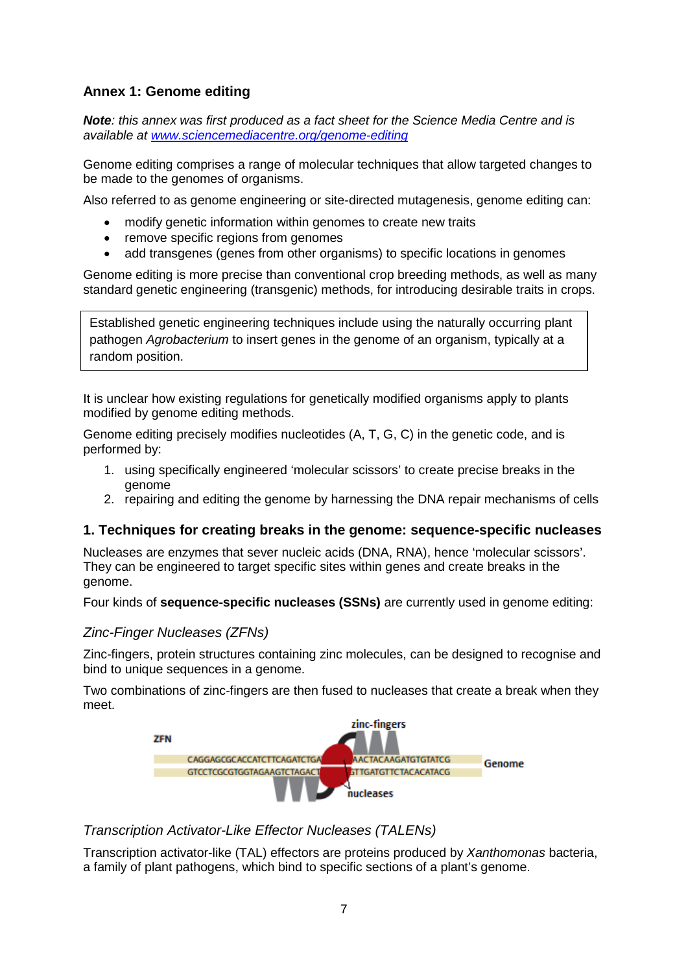## **Annex 1: Genome editing**

*Note: this annex was first produced as a fact sheet for the Science Media Centre and is available at [www.sciencemediacentre.org/genome-editing](http://www.sciencemediacentre.org/genome-editing/)*

Genome editing comprises a range of molecular techniques that allow targeted changes to be made to the genomes of organisms.

Also referred to as genome engineering or site-directed mutagenesis, genome editing can:

- modify genetic information within genomes to create new traits
- remove specific regions from genomes
- add transgenes (genes from other organisms) to specific locations in genomes

Genome editing is more precise than conventional crop breeding methods, as well as many standard genetic engineering (transgenic) methods, for introducing desirable traits in crops.

Established genetic engineering techniques include using the naturally occurring plant pathogen *Agrobacterium* to insert genes in the genome of an organism, typically at a random position.

It is unclear how existing regulations for genetically modified organisms apply to plants modified by genome editing methods.

Genome editing precisely modifies nucleotides (A, T, G, C) in the genetic code, and is performed by:

- 1. using specifically engineered 'molecular scissors' to create precise breaks in the genome
- 2. repairing and editing the genome by harnessing the DNA repair mechanisms of cells

## **1. Techniques for creating breaks in the genome: sequence-specific nucleases**

Nucleases are enzymes that sever nucleic acids (DNA, RNA), hence 'molecular scissors'. They can be engineered to target specific sites within genes and create breaks in the genome.

Four kinds of **sequence-specific nucleases (SSNs)** are currently used in genome editing:

## *Zinc-Finger Nucleases (ZFNs)*

Zinc-fingers, protein structures containing zinc molecules, can be designed to recognise and bind to unique sequences in a genome.

Two combinations of zinc-fingers are then fused to nucleases that create a break when they meet.



## *Transcription Activator-Like Effector Nucleases (TALENs)*

Transcription activator-like (TAL) effectors are proteins produced by *Xanthomonas* bacteria, a family of plant pathogens, which bind to specific sections of a plant's genome.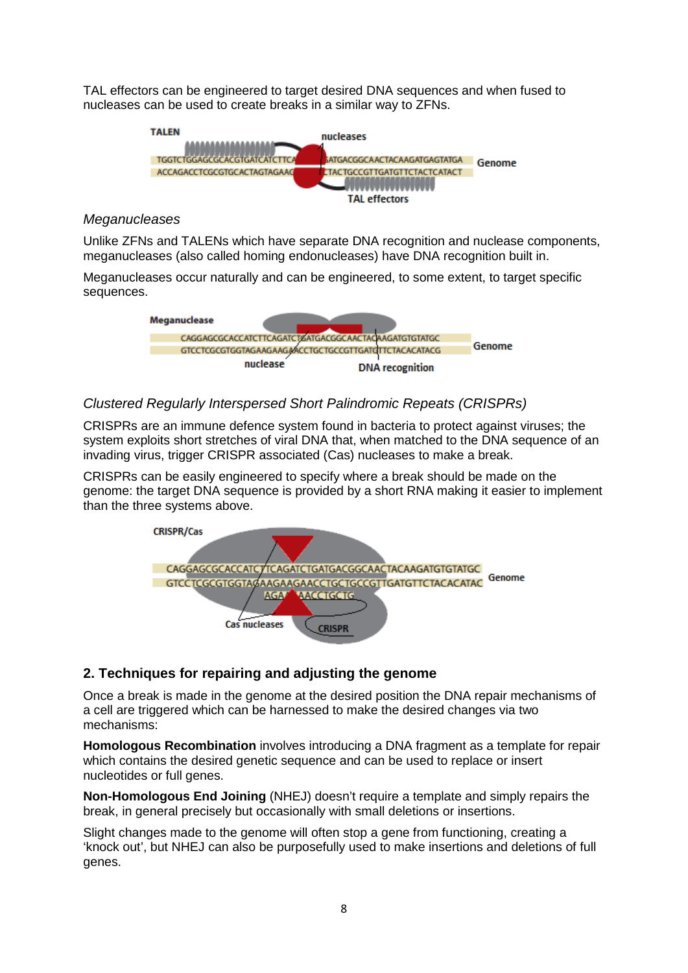TAL effectors can be engineered to target desired DNA sequences and when fused to nucleases can be used to create breaks in a similar way to ZFNs.



#### *Meganucleases*

Unlike ZFNs and TALENs which have separate DNA recognition and nuclease components, meganucleases (also called homing endonucleases) have DNA recognition built in.

Meganucleases occur naturally and can be engineered, to some extent, to target specific sequences.



### *Clustered Regularly Interspersed Short Palindromic Repeats (CRISPRs)*

CRISPRs are an immune defence system found in bacteria to protect against viruses; the system exploits short stretches of viral DNA that, when matched to the DNA sequence of an invading virus, trigger CRISPR associated (Cas) nucleases to make a break.

CRISPRs can be easily engineered to specify where a break should be made on the genome: the target DNA sequence is provided by a short RNA making it easier to implement than the three systems above.



## **2. Techniques for repairing and adjusting the genome**

Once a break is made in the genome at the desired position the DNA repair mechanisms of a cell are triggered which can be harnessed to make the desired changes via two mechanisms:

**Homologous Recombination** involves introducing a DNA fragment as a template for repair which contains the desired genetic sequence and can be used to replace or insert nucleotides or full genes.

**Non-Homologous End Joining** (NHEJ) doesn't require a template and simply repairs the break, in general precisely but occasionally with small deletions or insertions.

Slight changes made to the genome will often stop a gene from functioning, creating a 'knock out', but NHEJ can also be purposefully used to make insertions and deletions of full genes.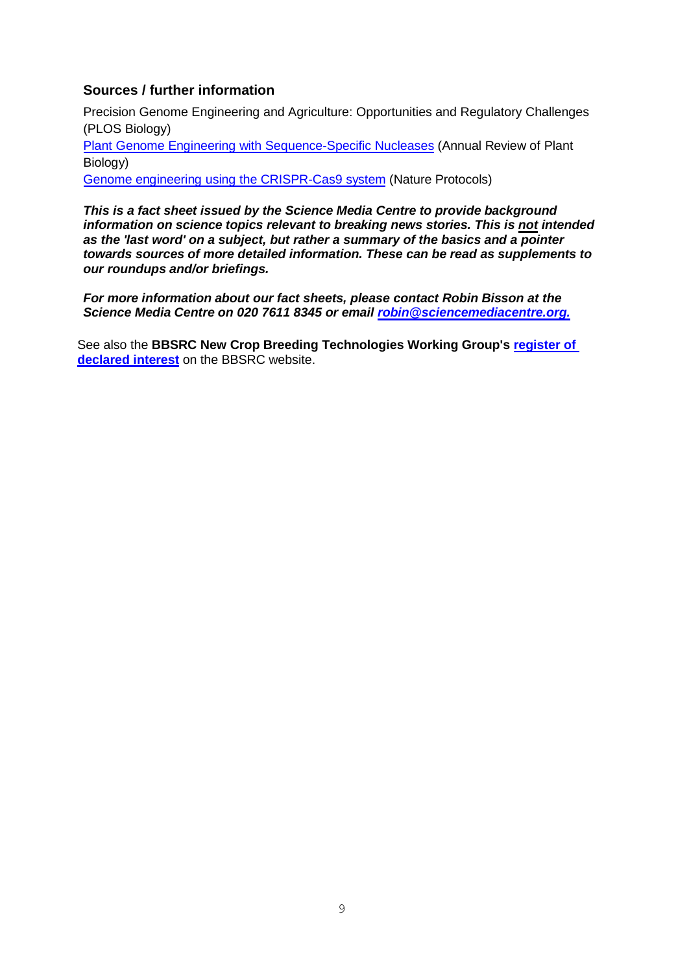## **Sources / further information**

Precision Genome Engineering and Agriculture: Opportunities and Regulatory Challenges (PLOS Biology)

Plant Genome Engineering [with Sequence-Specific Nucleases](http://www.annualreviews.org/doi/abs/10.1146/annurev-arplant-042811-105552) (Annual Review of Plant Biology)

[Genome engineering using](http://www.ncbi.nlm.nih.gov/pmc/articles/PMC3969860/) the CRISPR-Cas9 system (Nature Protocols)

*This is a fact sheet issued by the Science Media Centre to provide background information on science topics relevant to breaking news stories. This is not intended as the 'last word' on a subject, but rather a summary of the basics and a pointer towards sources of more detailed information. These can be read as supplements to our roundups and/or briefings.*

*For more information about our fact sheets, please contact Robin Bisson at the Science Media Centre on 020 7611 8345 or email [robin@sciencemediacentre.org.](mailto:robin@sciencemediacentre.org)*

See also the **BBSRC New Crop Breeding Technologies Working Group's [register of](http://www.bbsrc.ac.uk/web/FILES/Conflicts/ncbt-working-group-declared-interests.pdf)  [declared interest](http://www.bbsrc.ac.uk/web/FILES/Conflicts/ncbt-working-group-declared-interests.pdf)** on the BBSRC website.